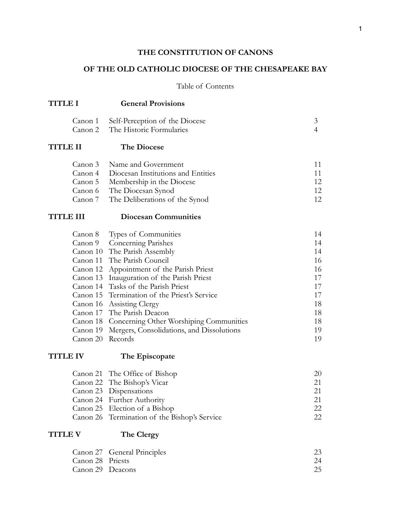## **THE CONSTITUTION OF CANONS**

## **OF THE OLD CATHOLIC DIOCESE OF THE CHESAPEAKE BAY**

## Table of Contents

| <b>TITLE I</b>                                      | <b>General Provisions</b>                                                                                                                                                                                                                                                                                                                                                                                                                                         |                                                                            |
|-----------------------------------------------------|-------------------------------------------------------------------------------------------------------------------------------------------------------------------------------------------------------------------------------------------------------------------------------------------------------------------------------------------------------------------------------------------------------------------------------------------------------------------|----------------------------------------------------------------------------|
| Canon 1<br>Canon 2                                  | Self-Perception of the Diocese<br>The Historic Formularies                                                                                                                                                                                                                                                                                                                                                                                                        | $\mathfrak{Z}$<br>$\overline{4}$                                           |
| <b>TITLE II</b>                                     | <b>The Diocese</b>                                                                                                                                                                                                                                                                                                                                                                                                                                                |                                                                            |
| Canon 3<br>Canon 4<br>Canon 5<br>Canon 6<br>Canon 7 | Name and Government<br>Diocesan Institutions and Entities<br>Membership in the Diocese<br>The Diocesan Synod<br>The Deliberations of the Synod                                                                                                                                                                                                                                                                                                                    | 11<br>11<br>12<br>12<br>12                                                 |
| <b>TITLE III</b>                                    | <b>Diocesan Communities</b>                                                                                                                                                                                                                                                                                                                                                                                                                                       |                                                                            |
| Canon 8<br>Canon 9<br>Canon 20 Records              | Types of Communities<br>Concerning Parishes<br>Canon 10 The Parish Assembly<br>Canon 11 The Parish Council<br>Canon 12 Appointment of the Parish Priest<br>Canon 13 Inauguration of the Parish Priest<br>Canon 14 Tasks of the Parish Priest<br>Canon 15 Termination of the Priest's Service<br>Canon 16 Assisting Clergy<br>Canon 17 The Parish Deacon<br>Canon 18 Concerning Other Worshiping Communities<br>Canon 19 Mergers, Consolidations, and Dissolutions | 14<br>14<br>14<br>16<br>16<br>17<br>17<br>17<br>18<br>18<br>18<br>19<br>19 |
| <b>TITLE IV</b>                                     | The Episcopate<br>Canon 21 The Office of Bishop<br>Canon 22 The Bishop's Vicar<br>Canon 23 Dispensations<br>Canon 24 Further Authority<br>Canon 25 Election of a Bishop<br>Canon 26 Termination of the Bishop's Service                                                                                                                                                                                                                                           | 20<br>21<br>21<br>21<br>22<br>22                                           |
| <b>TITLE V</b>                                      | The Clergy                                                                                                                                                                                                                                                                                                                                                                                                                                                        |                                                                            |
| Canon 27<br>Canon 28<br>Canon 29 Deacons            | General Principles<br>Priests                                                                                                                                                                                                                                                                                                                                                                                                                                     | 23<br>24<br>25                                                             |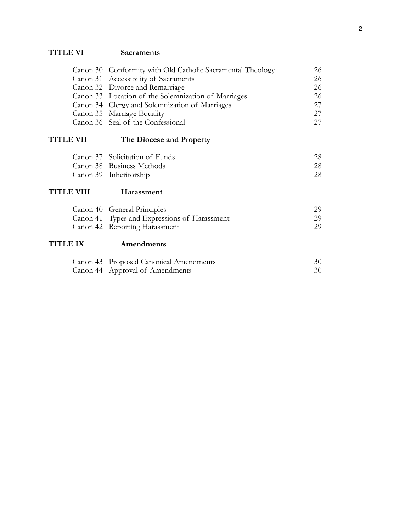# **TITLE VI Sacraments**

| Canon 30 Conformity with Old Catholic Sacramental Theology | 26 |
|------------------------------------------------------------|----|
| Canon 31 Accessibility of Sacraments                       | 26 |
| Canon 32 Divorce and Remarriage                            | 26 |
| Canon 33 Location of the Solemnization of Marriages        | 26 |
| Canon 34 Clergy and Solemnization of Marriages             | 27 |
| Canon 35 Marriage Equality                                 | 27 |
| Canon 36 Seal of the Confessional                          | 27 |
|                                                            |    |

# **TITLE VII The Diocese and Property**

| Canon 37 Solicitation of Funds |    |
|--------------------------------|----|
| Canon 38 Business Methods      | 28 |
| Canon 39 Inheritorship         | 28 |

# **TITLE VIII Harassment**

| Canon 40 General Principles                  | 29 |
|----------------------------------------------|----|
| Canon 41 Types and Expressions of Harassment | 29 |
| Canon 42 Reporting Harassment                | 29 |

## **TITLE IX Amendments**

| Canon 43 Proposed Canonical Amendments | 30 |
|----------------------------------------|----|
| Canon 44 Approval of Amendments        | 30 |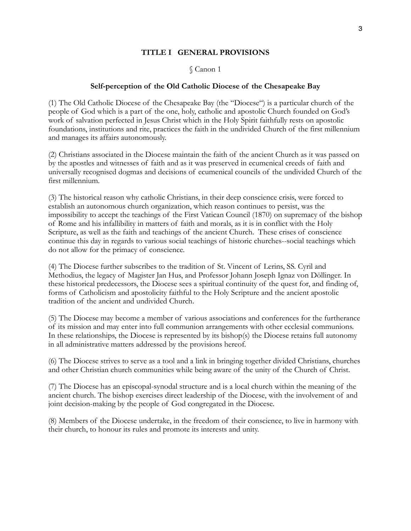#### **TITLE I GENERAL PROVISIONS**

#### § Canon 1

#### **Self-perception of the Old Catholic Diocese of the Chesapeake Bay**

(1) The Old Catholic Diocese of the Chesapeake Bay (the "Diocese") is a particular church of the people of God which is a part of the one, holy, catholic and apostolic Church founded on God's work of salvation perfected in Jesus Christ which in the Holy Spirit faithfully rests on apostolic foundations, institutions and rite, practices the faith in the undivided Church of the first millennium and manages its affairs autonomously.

(2) Christians associated in the Diocese maintain the faith of the ancient Church as it was passed on by the apostles and witnesses of faith and as it was preserved in ecumenical creeds of faith and universally recognised dogmas and decisions of ecumenical councils of the undivided Church of the first millennium.

(3) The historical reason why catholic Christians, in their deep conscience crisis, were forced to establish an autonomous church organization, which reason continues to persist, was the impossibility to accept the teachings of the First Vatican Council (1870) on supremacy of the bishop of Rome and his infallibility in matters of faith and morals, as it is in conflict with the Holy Scripture, as well as the faith and teachings of the ancient Church. These crises of conscience continue this day in regards to various social teachings of historic churches--social teachings which do not allow for the primacy of conscience.

(4) The Diocese further subscribes to the tradition of St. Vincent of Lerins, SS. Cyril and Methodius, the legacy of Magister Jan Hus, and Professor Johann Joseph Ignaz von Döllinger. In these historical predecessors, the Diocese sees a spiritual continuity of the quest for, and finding of, forms of Catholicism and apostolicity faithful to the Holy Scripture and the ancient apostolic tradition of the ancient and undivided Church.

(5) The Diocese may become a member of various associations and conferences for the furtherance of its mission and may enter into full communion arrangements with other ecclesial communions. In these relationships, the Diocese is represented by its bishop(s) the Diocese retains full autonomy in all administrative matters addressed by the provisions hereof.

(6) The Diocese strives to serve as a tool and a link in bringing together divided Christians, churches and other Christian church communities while being aware of the unity of the Church of Christ.

(7) The Diocese has an episcopal-synodal structure and is a local church within the meaning of the ancient church. The bishop exercises direct leadership of the Diocese, with the involvement of and joint decision-making by the people of God congregated in the Diocese.

(8) Members of the Diocese undertake, in the freedom of their conscience, to live in harmony with their church, to honour its rules and promote its interests and unity.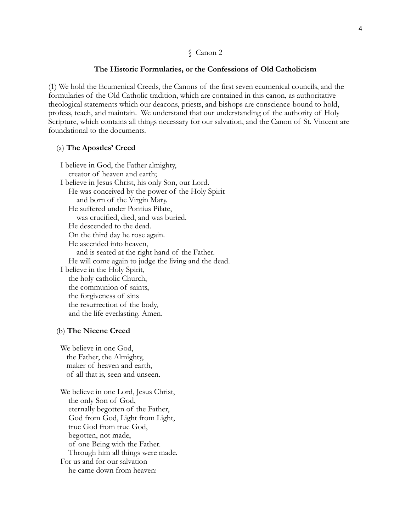#### **The Historic Formularies, or the Confessions of Old Catholicism**

(1) We hold the Ecumenical Creeds, the Canons of the first seven ecumenical councils, and the formularies of the Old Catholic tradition, which are contained in this canon, as authoritative theological statements which our deacons, priests, and bishops are conscience-bound to hold, profess, teach, and maintain. We understand that our understanding of the authority of Holy Scripture, which contains all things necessary for our salvation, and the Canon of St. Vincent are foundational to the documents.

#### (a) **The Apostles' Creed**

 I believe in God, the Father almighty, creator of heaven and earth; I believe in Jesus Christ, his only Son, our Lord. He was conceived by the power of the Holy Spirit and born of the Virgin Mary. He suffered under Pontius Pilate, was crucified, died, and was buried. He descended to the dead. On the third day he rose again. He ascended into heaven, and is seated at the right hand of the Father. He will come again to judge the living and the dead. I believe in the Holy Spirit, the holy catholic Church, the communion of saints, the forgiveness of sins the resurrection of the body, and the life everlasting. Amen.

#### (b) **The Nicene Creed**

 We believe in one God, the Father, the Almighty, maker of heaven and earth, of all that is, seen and unseen.

 We believe in one Lord, Jesus Christ, the only Son of God, eternally begotten of the Father, God from God, Light from Light, true God from true God, begotten, not made, of one Being with the Father. Through him all things were made. For us and for our salvation he came down from heaven: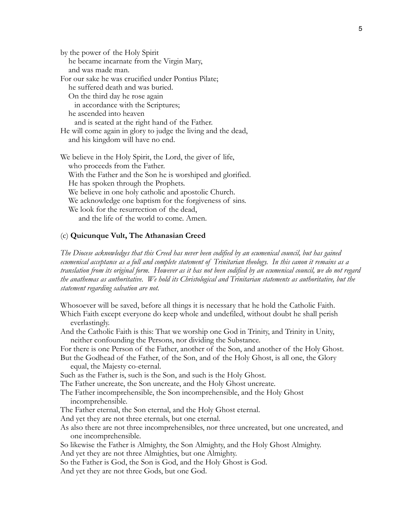by the power of the Holy Spirit he became incarnate from the Virgin Mary, and was made man. For our sake he was crucified under Pontius Pilate; he suffered death and was buried. On the third day he rose again in accordance with the Scriptures; he ascended into heaven and is seated at the right hand of the Father. He will come again in glory to judge the living and the dead, and his kingdom will have no end. We believe in the Holy Spirit, the Lord, the giver of life,

 who proceeds from the Father. With the Father and the Son he is worshiped and glorified. He has spoken through the Prophets. We believe in one holy catholic and apostolic Church. We acknowledge one baptism for the forgiveness of sins. We look for the resurrection of the dead, and the life of the world to come. Amen.

#### (c) **Quicunque Vult, The Athanasian Creed**

*The Diocese acknowledges that this Creed has never been codified by an ecumenical council, but has gained ecumenical acceptance as a full and complete statement of Trinitarian theology. In this canon it remains as a translation from its original form. However as it has not been codified by an ecumenical council, we do not regard the anathemas as authoritative. We hold its Christological and Trinitarian statements as authoritative, but the statement regarding salvation are not.*

Whosoever will be saved, before all things it is necessary that he hold the Catholic Faith. Which Faith except everyone do keep whole and undefiled, without doubt he shall perish everlastingly.

And the Catholic Faith is this: That we worship one God in Trinity, and Trinity in Unity, neither confounding the Persons, nor dividing the Substance.

For there is one Person of the Father, another of the Son, and another of the Holy Ghost. But the Godhead of the Father, of the Son, and of the Holy Ghost, is all one, the Glory

equal, the Majesty co-eternal.

Such as the Father is, such is the Son, and such is the Holy Ghost.

The Father uncreate, the Son uncreate, and the Holy Ghost uncreate.

The Father incomprehensible, the Son incomprehensible, and the Holy Ghost incomprehensible.

The Father eternal, the Son eternal, and the Holy Ghost eternal.

And yet they are not three eternals, but one eternal.

As also there are not three incomprehensibles, nor three uncreated, but one uncreated, and one incomprehensible.

So likewise the Father is Almighty, the Son Almighty, and the Holy Ghost Almighty.

And yet they are not three Almighties, but one Almighty.

So the Father is God, the Son is God, and the Holy Ghost is God.

And yet they are not three Gods, but one God.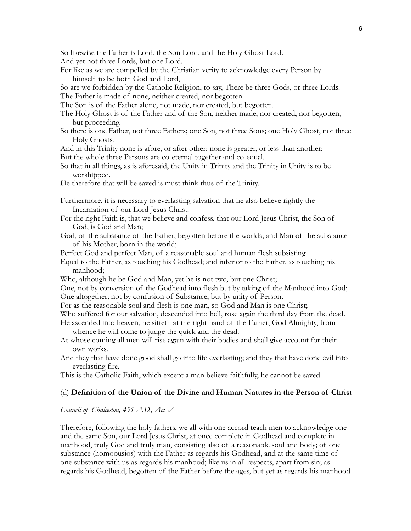So likewise the Father is Lord, the Son Lord, and the Holy Ghost Lord. And yet not three Lords, but one Lord.

For like as we are compelled by the Christian verity to acknowledge every Person by himself to be both God and Lord,

So are we forbidden by the Catholic Religion, to say, There be three Gods, or three Lords. The Father is made of none, neither created, nor begotten.

The Son is of the Father alone, not made, nor created, but begotten.

- The Holy Ghost is of the Father and of the Son, neither made, nor created, nor begotten, but proceeding.
- So there is one Father, not three Fathers; one Son, not three Sons; one Holy Ghost, not three Holy Ghosts.
- And in this Trinity none is afore, or after other; none is greater, or less than another; But the whole three Persons are co-eternal together and co-equal.
- So that in all things, as is aforesaid, the Unity in Trinity and the Trinity in Unity is to be worshipped.
- He therefore that will be saved is must think thus of the Trinity.

Furthermore, it is necessary to everlasting salvation that he also believe rightly the Incarnation of our Lord Jesus Christ.

- For the right Faith is, that we believe and confess, that our Lord Jesus Christ, the Son of God, is God and Man;
- God, of the substance of the Father, begotten before the worlds; and Man of the substance of his Mother, born in the world;
- Perfect God and perfect Man, of a reasonable soul and human flesh subsisting.
- Equal to the Father, as touching his Godhead; and inferior to the Father, as touching his manhood;
- Who, although he be God and Man, yet he is not two, but one Christ;

One, not by conversion of the Godhead into flesh but by taking of the Manhood into God; One altogether; not by confusion of Substance, but by unity of Person.

For as the reasonable soul and flesh is one man, so God and Man is one Christ;

Who suffered for our salvation, descended into hell, rose again the third day from the dead.

- He ascended into heaven, he sitteth at the right hand of the Father, God Almighty, from whence he will come to judge the quick and the dead.
- At whose coming all men will rise again with their bodies and shall give account for their own works.
- And they that have done good shall go into life everlasting; and they that have done evil into everlasting fire.

This is the Catholic Faith, which except a man believe faithfully, he cannot be saved.

### (d) **Definition of the Union of the Divine and Human Natures in the Person of Christ**

#### *Council of Chalcedon, 451 A.D., Act V*

Therefore, following the holy fathers, we all with one accord teach men to acknowledge one and the same Son, our Lord Jesus Christ, at once complete in Godhead and complete in manhood, truly God and truly man, consisting also of a reasonable soul and body; of one substance (homoousios) with the Father as regards his Godhead, and at the same time of one substance with us as regards his manhood; like us in all respects, apart from sin; as regards his Godhead, begotten of the Father before the ages, but yet as regards his manhood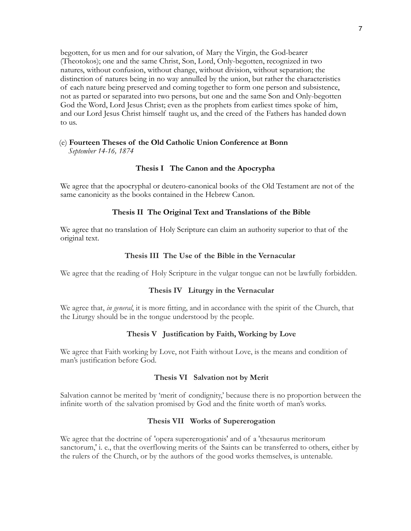begotten, for us men and for our salvation, of Mary the Virgin, the God-bearer (Theotokos); one and the same Christ, Son, Lord, Only-begotten, recognized in two natures, without confusion, without change, without division, without separation; the distinction of natures being in no way annulled by the union, but rather the characteristics of each nature being preserved and coming together to form one person and subsistence, not as parted or separated into two persons, but one and the same Son and Only-begotten God the Word, Lord Jesus Christ; even as the prophets from earliest times spoke of him, and our Lord Jesus Christ himself taught us, and the creed of the Fathers has handed down to us.

### (e) **Fourteen Theses of the Old Catholic Union Conference at Bonn** *September 14-16, 1874*

### **Thesis I The Canon and the Apocrypha**

We agree that the apocryphal or deutero-canonical books of the Old Testament are not of the same canonicity as the books contained in the Hebrew Canon.

### **Thesis II The Original Text and Translations of the Bible**

We agree that no translation of Holy Scripture can claim an authority superior to that of the original text.

### **Thesis III The Use of the Bible in the Vernacular**

We agree that the reading of Holy Scripture in the vulgar tongue can not be lawfully forbidden.

### **Thesis IV Liturgy in the Vernacular**

We agree that, *in general*, it is more fitting, and in accordance with the spirit of the Church, that the Liturgy should be in the tongue understood by the people.

### **Thesis V Justification by Faith, Working by Love**

We agree that Faith working by Love, not Faith without Love, is the means and condition of man's justification before God.

### **Thesis VI Salvation not by Merit**

Salvation cannot be merited by 'merit of condignity,' because there is no proportion between the infinite worth of the salvation promised by God and the finite worth of man's works.

### **Thesis VII Works of Supererogation**

We agree that the doctrine of 'opera supererogationis' and of a 'thesaurus meritorum sanctorum,' i. e., that the overflowing merits of the Saints can be transferred to others, either by the rulers of the Church, or by the authors of the good works themselves, is untenable.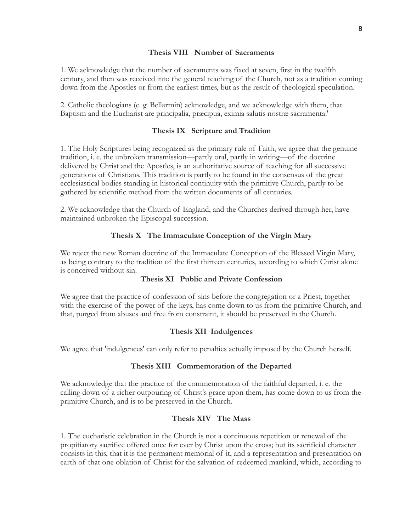### **Thesis VIII Number of Sacraments**

1. We acknowledge that the number of sacraments was fixed at seven, first in the twelfth century, and then was received into the general teaching of the Church, not as a tradition coming down from the Apostles or from the earliest times, but as the result of theological speculation.

2. Catholic theologians (e. g. Bellarmin) acknowledge, and we acknowledge with them, that Baptism and the Eucharist are principalia, præcipua, eximia salutis nostræ sacramenta.'

## **Thesis IX Scripture and Tradition**

1. The Holy Scriptures being recognized as the primary rule of Faith, we agree that the genuine tradition, i. e. the unbroken transmission—partly oral, partly in writing—of the doctrine delivered by Christ and the Apostles, is an authoritative source of teaching for all successive generations of Christians. This tradition is partly to be found in the consensus of the great ecclesiastical bodies standing in historical continuity with the primitive Church, partly to be gathered by scientific method from the written documents of all centuries.

2. We acknowledge that the Church of England, and the Churches derived through her, have maintained unbroken the Episcopal succession.

## **Thesis X The Immaculate Conception of the Virgin Mary**

We reject the new Roman doctrine of the Immaculate Conception of the Blessed Virgin Mary, as being contrary to the tradition of the first thirteen centuries, according to which Christ alone is conceived without sin.

### **Thesis XI Public and Private Confession**

We agree that the practice of confession of sins before the congregation or a Priest, together with the exercise of the power of the keys, has come down to us from the primitive Church, and that, purged from abuses and free from constraint, it should be preserved in the Church.

## **Thesis XII Indulgences**

We agree that 'indulgences' can only refer to penalties actually imposed by the Church herself.

### **Thesis XIII Commemoration of the Departed**

We acknowledge that the practice of the commemoration of the faithful departed, i. e. the calling down of a richer outpouring of Christ's grace upon them, has come down to us from the primitive Church, and is to be preserved in the Church.

## **Thesis XIV The Mass**

1. The eucharistic celebration in the Church is not a continuous repetition or renewal of the propitiatory sacrifice offered once for ever by Christ upon the cross; but its sacrificial character consists in this, that it is the permanent memorial of it, and a representation and presentation on earth of that one oblation of Christ for the salvation of redeemed mankind, which, according to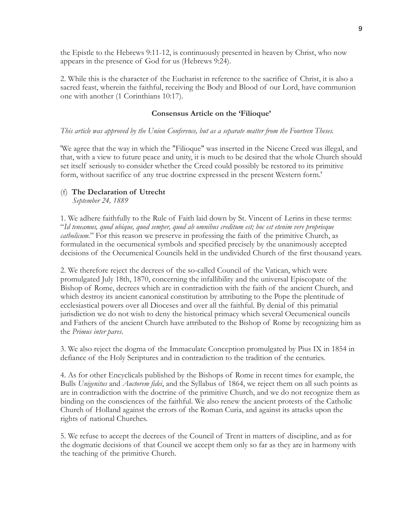the Epistle to the Hebrews 9:11-12, is continuously presented in heaven by Christ, who now appears in the presence of God for us (Hebrews 9:24).

2. While this is the character of the Eucharist in reference to the sacrifice of Christ, it is also a sacred feast, wherein the faithful, receiving the Body and Blood of our Lord, have communion one with another (1 Corinthians 10:17).

#### **Consensus Article on the 'Filioque'**

#### *This article was approved by the Union Conference, but as a separate matter from the Fourteen Theses.*

'We agree that the way in which the "Filioque" was inserted in the Nicene Creed was illegal, and that, with a view to future peace and unity, it is much to be desired that the whole Church should set itself seriously to consider whether the Creed could possibly be restored to its primitive form, without sacrifice of any true doctrine expressed in the present Western form.'

#### (f) **The Declaration of Utrecht**

*September 24, 1889*

1. We adhere faithfully to the Rule of Faith laid down by St. Vincent of Lerins in these terms: "*Id teneamus, quod ubique, quod semper, quod ab omnibus creditum est; hoc est etenim vere proprieque catholicum.*" For this reason we preserve in professing the faith of the primitive Church, as formulated in the oecumenical symbols and specified precisely by the unanimously accepted decisions of the Oecumenical Councils held in the undivided Church of the first thousand years.

2. We therefore reject the decrees of the so-called Council of the Vatican, which were promulgated July 18th, 1870, concerning the infallibility and the universal Episcopate of the Bishop of Rome, decrees which are in contradiction with the faith of the ancient Church, and which destroy its ancient canonical constitution by attributing to the Pope the plentitude of ecclesiastical powers over all Dioceses and over all the faithful. By denial of this primatial jurisdiction we do not wish to deny the historical primacy which several Oecumenical ouncils and Fathers of the ancient Church have attributed to the Bishop of Rome by recognizing him as the *Primus inter pares*.

3. We also reject the dogma of the Immaculate Conception promulgated by Pius IX in 1854 in defiance of the Holy Scriptures and in contradiction to the tradition of the centuries.

4. As for other Encyclicals published by the Bishops of Rome in recent times for example, the Bulls *Unigenitus* and *Auctorem fidei*, and the Syllabus of 1864, we reject them on all such points as are in contradiction with the doctrine of the primitive Church, and we do not recognize them as binding on the consciences of the faithful. We also renew the ancient protests of the Catholic Church of Holland against the errors of the Roman Curia, and against its attacks upon the rights of national Churches.

5. We refuse to accept the decrees of the Council of Trent in matters of discipline, and as for the dogmatic decisions of that Council we accept them only so far as they are in harmony with the teaching of the primitive Church.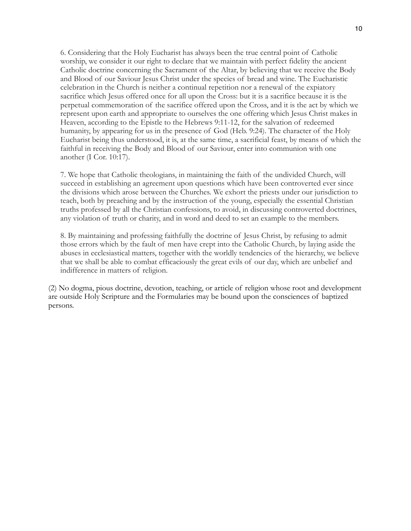6. Considering that the Holy Eucharist has always been the true central point of Catholic worship, we consider it our right to declare that we maintain with perfect fidelity the ancient Catholic doctrine concerning the Sacrament of the Altar, by believing that we receive the Body and Blood of our Saviour Jesus Christ under the species of bread and wine. The Eucharistic celebration in the Church is neither a continual repetition nor a renewal of the expiatory sacrifice which Jesus offered once for all upon the Cross: but it is a sacrifice because it is the perpetual commemoration of the sacrifice offered upon the Cross, and it is the act by which we represent upon earth and appropriate to ourselves the one offering which Jesus Christ makes in Heaven, according to the Epistle to the Hebrews 9:11-12, for the salvation of redeemed humanity, by appearing for us in the presence of God (Heb. 9:24). The character of the Holy Eucharist being thus understood, it is, at the same time, a sacrificial feast, by means of which the faithful in receiving the Body and Blood of our Saviour, enter into communion with one another (I Cor. 10:17).

7. We hope that Catholic theologians, in maintaining the faith of the undivided Church, will succeed in establishing an agreement upon questions which have been controverted ever since the divisions which arose between the Churches. We exhort the priests under our jurisdiction to teach, both by preaching and by the instruction of the young, especially the essential Christian truths professed by all the Christian confessions, to avoid, in discussing controverted doctrines, any violation of truth or charity, and in word and deed to set an example to the members.

8. By maintaining and professing faithfully the doctrine of Jesus Christ, by refusing to admit those errors which by the fault of men have crept into the Catholic Church, by laying aside the abuses in ecclesiastical matters, together with the worldly tendencies of the hierarchy, we believe that we shall be able to combat efficaciously the great evils of our day, which are unbelief and indifference in matters of religion.

(2) No dogma, pious doctrine, devotion, teaching, or article of religion whose root and development are outside Holy Scripture and the Formularies may be bound upon the consciences of baptized persons.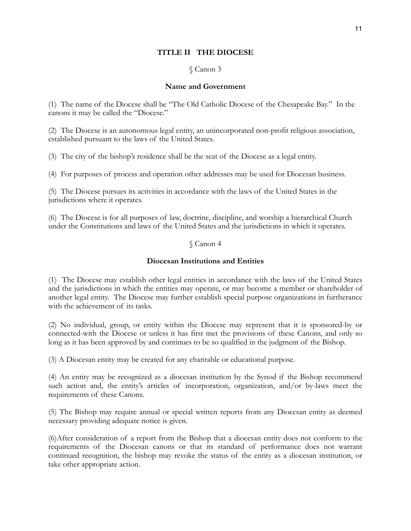### **TITLE II THE DIOCESE**

### § Canon 3

### **Name and Government**

(1) The name of the Diocese shall be "The Old Catholic Diocese of the Chesapeake Bay." In the canons it may be called the "Diocese."

(2) The Diocese is an autonomous legal entity, an unincorporated non-profit religious association, established pursuant to the laws of the United States.

(3) The city of the bishop's residence shall be the seat of the Diocese as a legal entity.

(4) For purposes of process and operation other addresses may be used for Diocesan business.

(5) The Diocese pursues its activities in accordance with the laws of the United States in the jurisdictions where it operates.

(6) The Diocese is for all purposes of law, doctrine, discipline, and worship a hierarchical Church under the Constitutions and laws of the United States and the jurisdictions in which it operates.

### § Canon 4

## **Diocesan Institutions and Entities**

(1) The Diocese may establish other legal entities in accordance with the laws of the United States and the jurisdictions in which the entities may operate, or may become a member or shareholder of another legal entity. The Diocese may further establish special purpose organizations in furtherance with the achievement of its tasks.

(2) No individual, group, or entity within the Diocese may represent that it is sponsored-by or connected-with the Diocese or unless it has first met the provisions of these Canons, and only so long as it has been approved by and continues to be so qualified in the judgment of the Bishop.

(3) A Diocesan entity may be created for any charitable or educational purpose.

(4) An entity may be recognized as a diocesan institution by the Synod if the Bishop recommend such action and, the entity's articles of incorporation, organization, and/or by-laws meet the requirements of these Canons.

(5) The Bishop may require annual or special written reports from any Diocesan entity as deemed necessary providing adequate notice is given.

(6)After consideration of a report from the Bishop that a diocesan entity does not conform to the requirements of the Diocesan canons or that its standard of performance does not warrant continued recognition, the bishop may revoke the status of the entity as a diocesan institution, or take other appropriate action.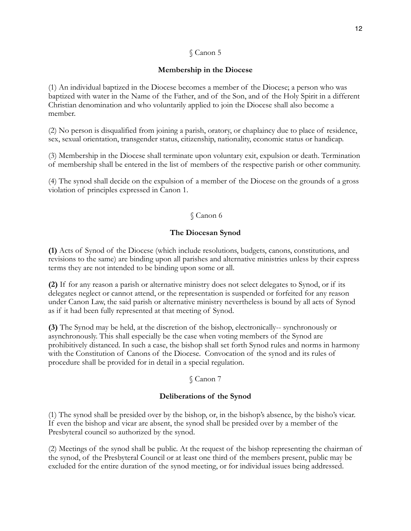## **Membership in the Diocese**

(1) An individual baptized in the Diocese becomes a member of the Diocese; a person who was baptized with water in the Name of the Father, and of the Son, and of the Holy Spirit in a different Christian denomination and who voluntarily applied to join the Diocese shall also become a member.

(2) No person is disqualified from joining a parish, oratory, or chaplaincy due to place of residence, sex, sexual orientation, transgender status, citizenship, nationality, economic status or handicap.

(3) Membership in the Diocese shall terminate upon voluntary exit, expulsion or death. Termination of membership shall be entered in the list of members of the respective parish or other community.

(4) The synod shall decide on the expulsion of a member of the Diocese on the grounds of a gross violation of principles expressed in Canon 1.

## § Canon 6

### **The Diocesan Synod**

**(1)** Acts of Synod of the Diocese (which include resolutions, budgets, canons, constitutions, and revisions to the same) are binding upon all parishes and alternative ministries unless by their express terms they are not intended to be binding upon some or all.

**(2)** If for any reason a parish or alternative ministry does not select delegates to Synod, or if its delegates neglect or cannot attend, or the representation is suspended or forfeited for any reason under Canon Law, the said parish or alternative ministry nevertheless is bound by all acts of Synod as if it had been fully represented at that meeting of Synod.

**(3)** The Synod may be held, at the discretion of the bishop, electronically-- synchronously or asynchronously. This shall especially be the case when voting members of the Synod are prohibitively distanced. In such a case, the bishop shall set forth Synod rules and norms in harmony with the Constitution of Canons of the Diocese. Convocation of the synod and its rules of procedure shall be provided for in detail in a special regulation.

### § Canon 7

## **Deliberations of the Synod**

(1) The synod shall be presided over by the bishop, or, in the bishop's absence, by the bisho's vicar. If even the bishop and vicar are absent, the synod shall be presided over by a member of the Presbyteral council so authorized by the synod.

(2) Meetings of the synod shall be public. At the request of the bishop representing the chairman of the synod, of the Presbyteral Council or at least one third of the members present, public may be excluded for the entire duration of the synod meeting, or for individual issues being addressed.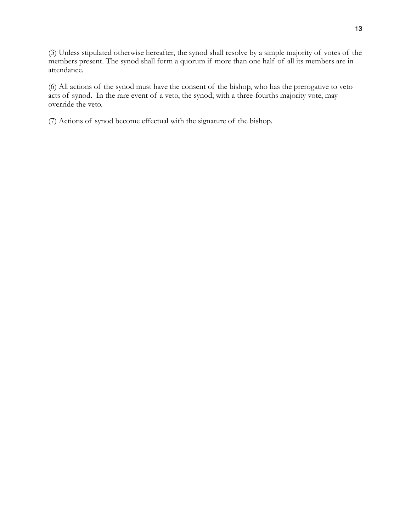(3) Unless stipulated otherwise hereafter, the synod shall resolve by a simple majority of votes of the members present. The synod shall form a quorum if more than one half of all its members are in attendance.

(6) All actions of the synod must have the consent of the bishop, who has the prerogative to veto acts of synod. In the rare event of a veto, the synod, with a three-fourths majority vote, may override the veto.

(7) Actions of synod become effectual with the signature of the bishop.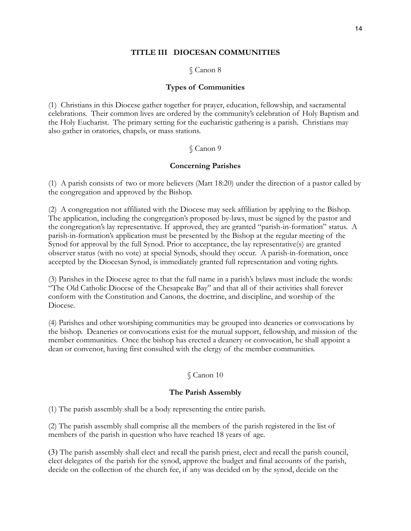### **TITLE III DIOCESAN COMMUNITIES**

§ Canon 8

### **Types of Communities**

(1) Christians in this Diocese gather together for prayer, education, fellowship, and sacramental celebrations. Their common lives are ordered by the community's celebration of Holy Baptism and the Holy Eucharist. The primary setting for the eucharistic gathering is a parish. Christians may also gather in oratories, chapels, or mass stations.

## § Canon 9

## **Concerning Parishes**

(1) A parish consists of two or more believers (Matt 18:20) under the direction of a pastor called by the congregation and approved by the Bishop.

(2) A congregation not affiliated with the Diocese may seek affiliation by applying to the Bishop. The application, including the congregation's proposed by-laws, must be signed by the pastor and the congregation's lay representative. If approved, they are granted "parish-in-formation" status. A parish-in-formation's application must be presented by the Bishop at the regular meeting of the Synod for approval by the full Synod. Prior to acceptance, the lay representative(s) are granted observer status (with no vote) at special Synods, should they occur. A parish-in-formation, once accepted by the Diocesan Synod, is immediately granted full representation and voting rights.

(3) Parishes in the Diocese agree to that the full name in a parish's bylaws must include the words: "The Old Catholic Diocese of the Chesapeake Bay" and that all of their activities shall forever conform with the Constitution and Canons, the doctrine, and discipline, and worship of the Diocese.

(4) Parishes and other worshiping communities may be grouped into deaneries or convocations by the bishop. Deaneries or convocations exist for the mutual support, fellowship, and mission of the member communities. Once the bishop has erected a deanery or convocation, he shall appoint a dean or convenor, having first consulted with the clergy of the member communities.

## § Canon 10

### **The Parish Assembly**

(1) The parish assembly shall be a body representing the entire parish.

(2) The parish assembly shall comprise all the members of the parish registered in the list of members of the parish in question who have reached 18 years of age.

(3) The parish assembly shall elect and recall the parish priest, elect and recall the parish council, elect delegates of the parish for the synod, approve the budget and final accounts of the parish, decide on the collection of the church fee, if any was decided on by the synod, decide on the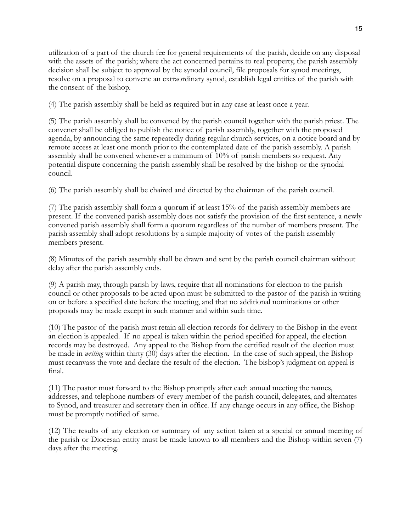utilization of a part of the church fee for general requirements of the parish, decide on any disposal with the assets of the parish; where the act concerned pertains to real property, the parish assembly decision shall be subject to approval by the synodal council, file proposals for synod meetings, resolve on a proposal to convene an extraordinary synod, establish legal entities of the parish with the consent of the bishop.

(4) The parish assembly shall be held as required but in any case at least once a year.

(5) The parish assembly shall be convened by the parish council together with the parish priest. The convener shall be obliged to publish the notice of parish assembly, together with the proposed agenda, by announcing the same repeatedly during regular church services, on a notice board and by remote access at least one month prior to the contemplated date of the parish assembly. A parish assembly shall be convened whenever a minimum of 10% of parish members so request. Any potential dispute concerning the parish assembly shall be resolved by the bishop or the synodal council.

(6) The parish assembly shall be chaired and directed by the chairman of the parish council.

(7) The parish assembly shall form a quorum if at least 15% of the parish assembly members are present. If the convened parish assembly does not satisfy the provision of the first sentence, a newly convened parish assembly shall form a quorum regardless of the number of members present. The parish assembly shall adopt resolutions by a simple majority of votes of the parish assembly members present.

(8) Minutes of the parish assembly shall be drawn and sent by the parish council chairman without delay after the parish assembly ends.

(9) A parish may, through parish by-laws, require that all nominations for election to the parish council or other proposals to be acted upon must be submitted to the pastor of the parish in writing on or before a specified date before the meeting, and that no additional nominations or other proposals may be made except in such manner and within such time.

(10) The pastor of the parish must retain all election records for delivery to the Bishop in the event an election is appealed. If no appeal is taken within the period specified for appeal, the election records may be destroyed. Any appeal to the Bishop from the certified result of the election must be made in *writing* within thirty (30) days after the election. In the case of such appeal, the Bishop must recanvass the vote and declare the result of the election. The bishop's judgment on appeal is final.

(11) The pastor must forward to the Bishop promptly after each annual meeting the names, addresses, and telephone numbers of every member of the parish council, delegates, and alternates to Synod, and treasurer and secretary then in office. If any change occurs in any office, the Bishop must be promptly notified of same.

(12) The results of any election or summary of any action taken at a special or annual meeting of the parish or Diocesan entity must be made known to all members and the Bishop within seven (7) days after the meeting.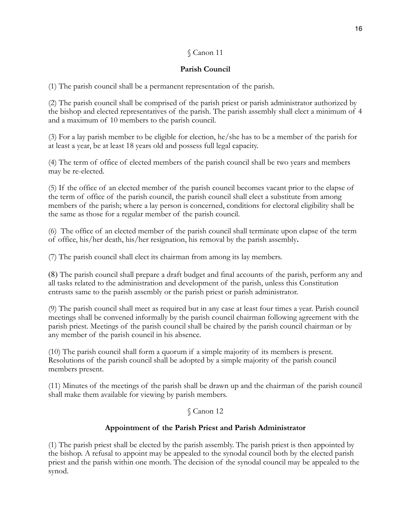## **Parish Council**

(1) The parish council shall be a permanent representation of the parish.

(2) The parish council shall be comprised of the parish priest or parish administrator authorized by the bishop and elected representatives of the parish. The parish assembly shall elect a minimum of 4 and a maximum of 10 members to the parish council.

(3) For a lay parish member to be eligible for election, he/she has to be a member of the parish for at least a year, be at least 18 years old and possess full legal capacity.

(4) The term of office of elected members of the parish council shall be two years and members may be re-elected.

(5) If the office of an elected member of the parish council becomes vacant prior to the elapse of the term of office of the parish council, the parish council shall elect a substitute from among members of the parish; where a lay person is concerned, conditions for electoral eligibility shall be the same as those for a regular member of the parish council.

(6) The office of an elected member of the parish council shall terminate upon elapse of the term of office, his/her death, his/her resignation, his removal by the parish assembly**.**

(7) The parish council shall elect its chairman from among its lay members.

(8) The parish council shall prepare a draft budget and final accounts of the parish, perform any and all tasks related to the administration and development of the parish, unless this Constitution entrusts same to the parish assembly or the parish priest or parish administrator.

(9) The parish council shall meet as required but in any case at least four times a year. Parish council meetings shall be convened informally by the parish council chairman following agreement with the parish priest. Meetings of the parish council shall be chaired by the parish council chairman or by any member of the parish council in his absence.

(10) The parish council shall form a quorum if a simple majority of its members is present. Resolutions of the parish council shall be adopted by a simple majority of the parish council members present.

(11) Minutes of the meetings of the parish shall be drawn up and the chairman of the parish council shall make them available for viewing by parish members.

## § Canon 12

## **Appointment of the Parish Priest and Parish Administrator**

(1) The parish priest shall be elected by the parish assembly. The parish priest is then appointed by the bishop. A refusal to appoint may be appealed to the synodal council both by the elected parish priest and the parish within one month. The decision of the synodal council may be appealed to the synod.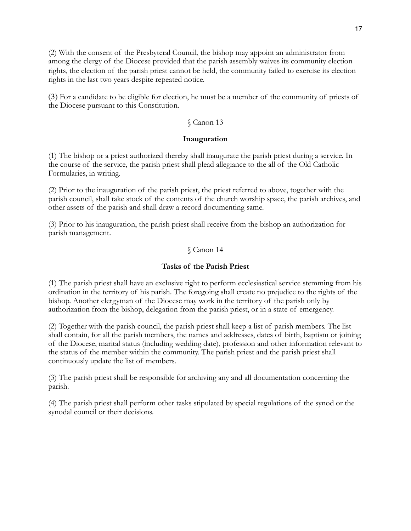(2) With the consent of the Presbyteral Council, the bishop may appoint an administrator from among the clergy of the Diocese provided that the parish assembly waives its community election rights, the election of the parish priest cannot be held, the community failed to exercise its election rights in the last two years despite repeated notice.

(3) For a candidate to be eligible for election, he must be a member of the community of priests of the Diocese pursuant to this Constitution.

### § Canon 13

### **Inauguration**

(1) The bishop or a priest authorized thereby shall inaugurate the parish priest during a service. In the course of the service, the parish priest shall plead allegiance to the all of the Old Catholic Formularies, in writing.

(2) Prior to the inauguration of the parish priest, the priest referred to above, together with the parish council, shall take stock of the contents of the church worship space, the parish archives, and other assets of the parish and shall draw a record documenting same.

(3) Prior to his inauguration, the parish priest shall receive from the bishop an authorization for parish management.

### § Canon 14

### **Tasks of the Parish Priest**

(1) The parish priest shall have an exclusive right to perform ecclesiastical service stemming from his ordination in the territory of his parish. The foregoing shall create no prejudice to the rights of the bishop. Another clergyman of the Diocese may work in the territory of the parish only by authorization from the bishop, delegation from the parish priest, or in a state of emergency.

(2) Together with the parish council, the parish priest shall keep a list of parish members. The list shall contain, for all the parish members, the names and addresses, dates of birth, baptism or joining of the Diocese, marital status (including wedding date), profession and other information relevant to the status of the member within the community. The parish priest and the parish priest shall continuously update the list of members.

(3) The parish priest shall be responsible for archiving any and all documentation concerning the parish.

(4) The parish priest shall perform other tasks stipulated by special regulations of the synod or the synodal council or their decisions.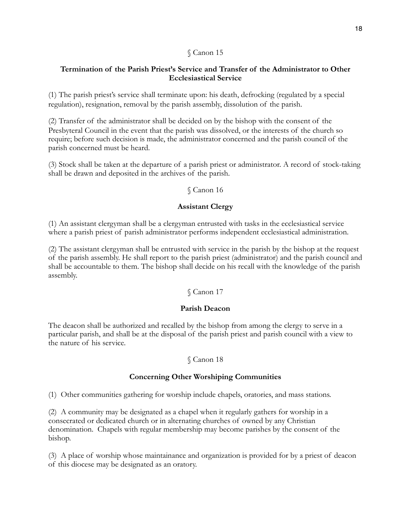### **Termination of the Parish Priest's Service and Transfer of the Administrator to Other Ecclesiastical Service**

(1) The parish priest's service shall terminate upon: his death, defrocking (regulated by a special regulation), resignation, removal by the parish assembly, dissolution of the parish.

(2) Transfer of the administrator shall be decided on by the bishop with the consent of the Presbyteral Council in the event that the parish was dissolved, or the interests of the church so require; before such decision is made, the administrator concerned and the parish council of the parish concerned must be heard.

(3) Stock shall be taken at the departure of a parish priest or administrator. A record of stock-taking shall be drawn and deposited in the archives of the parish.

### § Canon 16

### **Assistant Clergy**

(1) An assistant clergyman shall be a clergyman entrusted with tasks in the ecclesiastical service where a parish priest of parish administrator performs independent ecclesiastical administration.

(2) The assistant clergyman shall be entrusted with service in the parish by the bishop at the request of the parish assembly. He shall report to the parish priest (administrator) and the parish council and shall be accountable to them. The bishop shall decide on his recall with the knowledge of the parish assembly.

## § Canon 17

### **Parish Deacon**

The deacon shall be authorized and recalled by the bishop from among the clergy to serve in a particular parish, and shall be at the disposal of the parish priest and parish council with a view to the nature of his service.

## § Canon 18

### **Concerning Other Worshiping Communities**

(1) Other communities gathering for worship include chapels, oratories, and mass stations.

(2) A community may be designated as a chapel when it regularly gathers for worship in a consecrated or dedicated church or in alternating churches of owned by any Christian denomination. Chapels with regular membership may become parishes by the consent of the bishop.

(3) A place of worship whose maintainance and organization is provided for by a priest of deacon of this diocese may be designated as an oratory.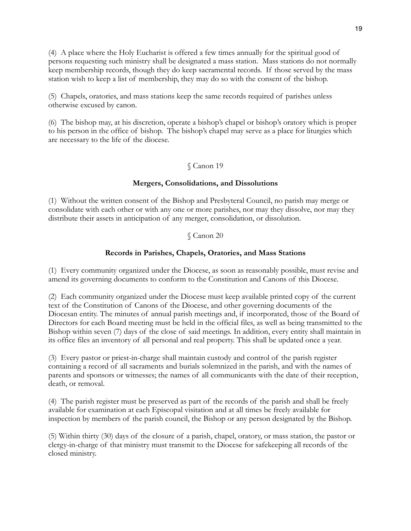(4) A place where the Holy Eucharist is offered a few times annually for the spiritual good of persons requesting such ministry shall be designated a mass station. Mass stations do not normally keep membership records, though they do keep sacramental records. If those served by the mass station wish to keep a list of membership, they may do so with the consent of the bishop.

(5) Chapels, oratories, and mass stations keep the same records required of parishes unless otherwise excused by canon.

(6) The bishop may, at his discretion, operate a bishop's chapel or bishop's oratory which is proper to his person in the office of bishop. The bishop's chapel may serve as a place for liturgies which are necessary to the life of the diocese.

### § Canon 19

### **Mergers, Consolidations, and Dissolutions**

(1) Without the written consent of the Bishop and Presbyteral Council, no parish may merge or consolidate with each other or with any one or more parishes, nor may they dissolve, nor may they distribute their assets in anticipation of any merger, consolidation, or dissolution.

### § Canon 20

### **Records in Parishes, Chapels, Oratories, and Mass Stations**

(1) Every community organized under the Diocese, as soon as reasonably possible, must revise and amend its governing documents to conform to the Constitution and Canons of this Diocese.

(2)Each community organized under the Diocese must keep available printed copy of the current text of the Constitution of Canons of the Diocese, and other governing documents of the Diocesan entity. The minutes of annual parish meetings and, if incorporated, those of the Board of Directors for each Board meeting must be held in the official files, as well as being transmitted to the Bishop within seven (7) days of the close of said meetings. In addition, every entity shall maintain in its office files an inventory of all personal and real property. This shall be updated once a year.

(3) Every pastor or priest-in-charge shall maintain custody and control of the parish register containing a record of all sacraments and burials solemnized in the parish, and with the names of parents and sponsors or witnesses; the names of all communicants with the date of their reception, death, or removal.

(4) The parish register must be preserved as part of the records of the parish and shall be freely available for examination at each Episcopal visitation and at all times be freely available for inspection by members of the parish council, the Bishop or any person designated by the Bishop.

(5) Within thirty (30) days of the closure of a parish, chapel, oratory, or mass station, the pastor or clergy-in-charge of that ministry must transmit to the Diocese for safekeeping all records of the closed ministry.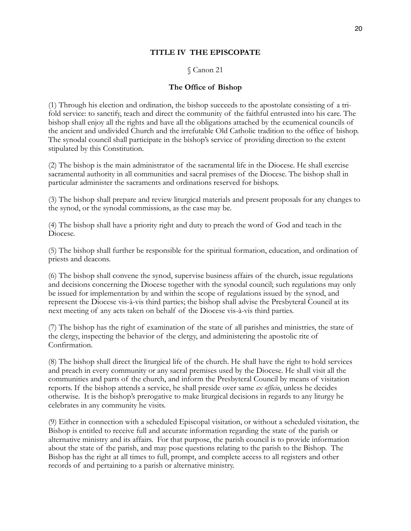### **TITLE IV THE EPISCOPATE**

### § Canon 21

### **The Office of Bishop**

(1) Through his election and ordination, the bishop succeeds to the apostolate consisting of a trifold service: to sanctify, teach and direct the community of the faithful entrusted into his care. The bishop shall enjoy all the rights and have all the obligations attached by the ecumenical councils of the ancient and undivided Church and the irrefutable Old Catholic tradition to the office of bishop. The synodal council shall participate in the bishop's service of providing direction to the extent stipulated by this Constitution.

(2) The bishop is the main administrator of the sacramental life in the Diocese. He shall exercise sacramental authority in all communities and sacral premises of the Diocese. The bishop shall in particular administer the sacraments and ordinations reserved for bishops.

(3) The bishop shall prepare and review liturgical materials and present proposals for any changes to the synod, or the synodal commissions, as the case may be.

(4) The bishop shall have a priority right and duty to preach the word of God and teach in the Diocese.

(5) The bishop shall further be responsible for the spiritual formation, education, and ordination of priests and deacons.

(6) The bishop shall convene the synod, supervise business affairs of the church, issue regulations and decisions concerning the Diocese together with the synodal council; such regulations may only be issued for implementation by and within the scope of regulations issued by the synod, and represent the Diocese vis-à-vis third parties; the bishop shall advise the Presbyteral Council at its next meeting of any acts taken on behalf of the Diocese vis-à-vis third parties.

(7) The bishop has the right of examination of the state of all parishes and ministries, the state of the clergy, inspecting the behavior of the clergy, and administering the apostolic rite of Confirmation.

(8) The bishop shall direct the liturgical life of the church. He shall have the right to hold services and preach in every community or any sacral premises used by the Diocese. He shall visit all the communities and parts of the church, and inform the Presbyteral Council by means of visitation reports. If the bishop attends a service, he shall preside over same *ex officio*, unless he decides otherwise. It is the bishop's prerogative to make liturgical decisions in regards to any liturgy he celebrates in any community he visits.

(9) Either in connection with a scheduled Episcopal visitation, or without a scheduled visitation, the Bishop is entitled to receive full and accurate information regarding the state of the parish or alternative ministry and its affairs. For that purpose, the parish council is to provide information about the state of the parish, and may pose questions relating to the parish to the Bishop. The Bishop has the right at all times to full, prompt, and complete access to all registers and other records of and pertaining to a parish or alternative ministry.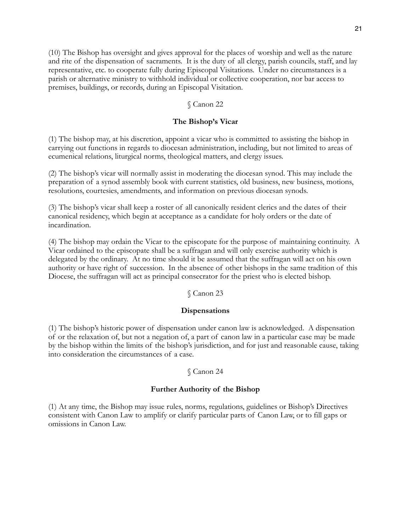(10) The Bishop has oversight and gives approval for the places of worship and well as the nature and rite of the dispensation of sacraments. It is the duty of all clergy, parish councils, staff, and lay representative, etc. to cooperate fully during Episcopal Visitations. Under no circumstances is a parish or alternative ministry to withhold individual or collective cooperation, nor bar access to premises, buildings, or records, during an Episcopal Visitation.

### § Canon 22

### **The Bishop's Vicar**

(1) The bishop may, at his discretion, appoint a vicar who is committed to assisting the bishop in carrying out functions in regards to diocesan administration, including, but not limited to areas of ecumenical relations, liturgical norms, theological matters, and clergy issues.

(2) The bishop's vicar will normally assist in moderating the diocesan synod. This may include the preparation of a synod assembly book with current statistics, old business, new business, motions, resolutions, courtesies, amendments, and information on previous diocesan synods.

(3) The bishop's vicar shall keep a roster of all canonically resident clerics and the dates of their canonical residency, which begin at acceptance as a candidate for holy orders or the date of incardination.

(4) The bishop may ordain the Vicar to the episcopate for the purpose of maintaining continuity. A Vicar ordained to the episcopate shall be a suffragan and will only exercise authority which is delegated by the ordinary. At no time should it be assumed that the suffragan will act on his own authority or have right of succession. In the absence of other bishops in the same tradition of this Diocese, the suffragan will act as principal consecrator for the priest who is elected bishop.

### § Canon 23

#### **Dispensations**

(1) The bishop's historic power of dispensation under canon law is acknowledged. A dispensation of or the relaxation of, but not a negation of, a part of canon law in a particular case may be made by the bishop within the limits of the bishop's jurisdiction, and for just and reasonable cause, taking into consideration the circumstances of a case.

#### § Canon 24

### **Further Authority of the Bishop**

(1) At any time, the Bishop may issue rules, norms, regulations, guidelines or Bishop's Directives consistent with Canon Law to amplify or clarify particular parts of Canon Law, or to fill gaps or omissions in Canon Law.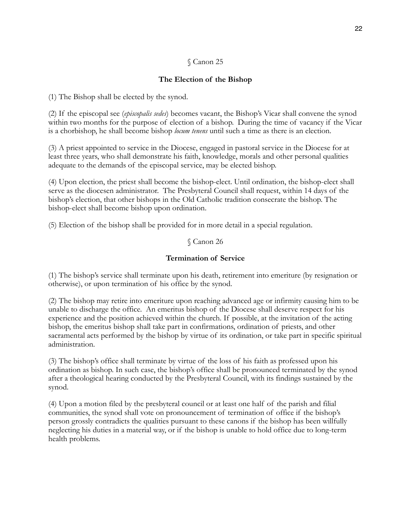## **The Election of the Bishop**

(1) The Bishop shall be elected by the synod.

(2) If the episcopal see (*episcopalis sedes*) becomes vacant, the Bishop's Vicar shall convene the synod within two months for the purpose of election of a bishop. During the time of vacancy if the Vicar is a chorbishop, he shall become bishop *locum tenens* until such a time as there is an election.

(3) A priest appointed to service in the Diocese, engaged in pastoral service in the Diocese for at least three years, who shall demonstrate his faith, knowledge, morals and other personal qualities adequate to the demands of the episcopal service, may be elected bishop.

(4) Upon election, the priest shall become the bishop-elect. Until ordination, the bishop-elect shall serve as the diocesen administrator. The Presbyteral Council shall request, within 14 days of the bishop's election, that other bishops in the Old Catholic tradition consecrate the bishop. The bishop-elect shall become bishop upon ordination.

(5) Election of the bishop shall be provided for in more detail in a special regulation.

### § Canon 26

### **Termination of Service**

(1) The bishop's service shall terminate upon his death, retirement into emeriture (by resignation or otherwise), or upon termination of his office by the synod.

(2) The bishop may retire into emeriture upon reaching advanced age or infirmity causing him to be unable to discharge the office. An emeritus bishop of the Diocese shall deserve respect for his experience and the position achieved within the church. If possible, at the invitation of the acting bishop, the emeritus bishop shall take part in confirmations, ordination of priests, and other sacramental acts performed by the bishop by virtue of its ordination, or take part in specific spiritual administration.

(3) The bishop's office shall terminate by virtue of the loss of his faith as professed upon his ordination as bishop. In such case, the bishop's office shall be pronounced terminated by the synod after a theological hearing conducted by the Presbyteral Council, with its findings sustained by the synod.

(4) Upon a motion filed by the presbyteral council or at least one half of the parish and filial communities, the synod shall vote on pronouncement of termination of office if the bishop's person grossly contradicts the qualities pursuant to these canons if the bishop has been willfully neglecting his duties in a material way, or if the bishop is unable to hold office due to long-term health problems.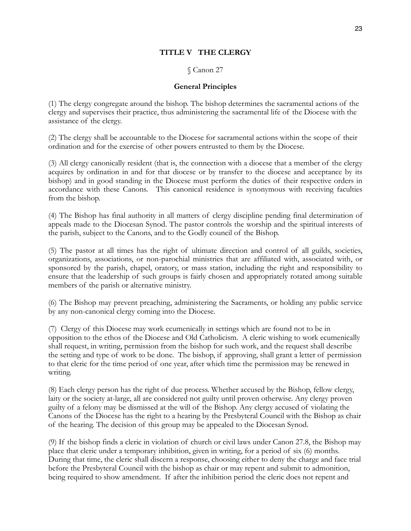### **TITLE V THE CLERGY**

### § Canon 27

### **General Principles**

(1) The clergy congregate around the bishop. The bishop determines the sacramental actions of the clergy and supervises their practice, thus administering the sacramental life of the Diocese with the assistance of the clergy.

(2) The clergy shall be accountable to the Diocese for sacramental actions within the scope of their ordination and for the exercise of other powers entrusted to them by the Diocese.

(3) All clergy canonically resident (that is, the connection with a diocese that a member of the clergy acquires by ordination in and for that diocese or by transfer to the diocese and acceptance by its bishop) and in good standing in the Diocese must perform the duties of their respective orders in accordance with these Canons. This canonical residence is synonymous with receiving faculties from the bishop.

(4) The Bishop has final authority in all matters of clergy discipline pending final determination of appeals made to the Diocesan Synod. The pastor controls the worship and the spiritual interests of the parish, subject to the Canons, and to the Godly council of the Bishop.

(5) The pastor at all times has the right of ultimate direction and control of all guilds, societies, organizations, associations, or non-parochial ministries that are affiliated with, associated with, or sponsored by the parish, chapel, oratory, or mass station, including the right and responsibility to ensure that the leadership of such groups is fairly chosen and appropriately rotated among suitable members of the parish or alternative ministry.

(6) The Bishop may prevent preaching, administering the Sacraments, or holding any public service by any non-canonical clergy coming into the Diocese.

(7) Clergy of this Diocese may work ecumenically in settings which are found not to be in opposition to the ethos of the Diocese and Old Catholicism. A cleric wishing to work ecumenically shall request, in writing, permission from the bishop for such work, and the request shall describe the setting and type of work to be done. The bishop, if approving, shall grant a letter of permission to that cleric for the time period of one year, after which time the permission may be renewed in writing.

(8) Each clergy person has the right of due process. Whether accused by the Bishop, fellow clergy, laity or the society at-large, all are considered not guilty until proven otherwise. Any clergy proven guilty of a felony may be dismissed at the will of the Bishop. Any clergy accused of violating the Canons of the Diocese has the right to a hearing by the Presbyteral Council with the Bishop as chair of the hearing. The decision of this group may be appealed to the Diocesan Synod.

(9) If the bishop finds a cleric in violation of church or civil laws under Canon 27.8, the Bishop may place that cleric under a temporary inhibition, given in writing, for a period of six (6) months. During that time, the cleric shall discern a response, choosing either to deny the charge and face trial before the Presbyteral Council with the bishop as chair or may repent and submit to admonition, being required to show amendment. If after the inhibition period the cleric does not repent and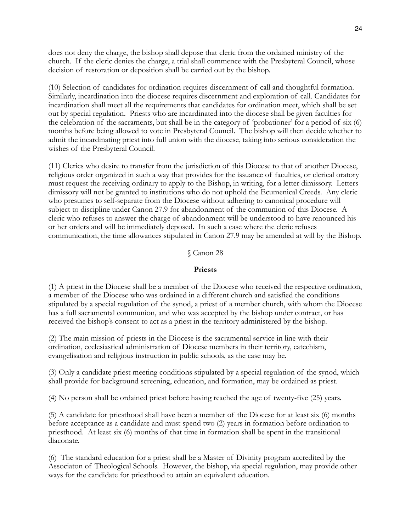does not deny the charge, the bishop shall depose that cleric from the ordained ministry of the church. If the cleric denies the charge, a trial shall commence with the Presbyteral Council, whose decision of restoration or deposition shall be carried out by the bishop.

(10) Selection of candidates for ordination requires discernment of call and thoughtful formation. Similarly, incardination into the diocese requires discernment and exploration of call. Candidates for incardination shall meet all the requirements that candidates for ordination meet, which shall be set out by special regulation. Priests who are incardinated into the diocese shall be given faculties for the celebration of the sacraments, but shall be in the category of 'probationer' for a period of six (6) months before being allowed to vote in Presbyteral Council. The bishop will then decide whether to admit the incardinating priest into full union with the diocese, taking into serious consideration the wishes of the Presbyteral Council.

(11) Clerics who desire to transfer from the jurisdiction of this Diocese to that of another Diocese, religious order organized in such a way that provides for the issuance of faculties, or clerical oratory must request the receiving ordinary to apply to the Bishop, in writing, for a letter dimissory. Letters dimissory will not be granted to institutions who do not uphold the Ecumenical Creeds. Any cleric who presumes to self-separate from the Diocese without adhering to canonical procedure will subject to discipline under Canon 27.9 for abandonment of the communion of this Diocese. A cleric who refuses to answer the charge of abandonment will be understood to have renounced his or her orders and will be immediately deposed. In such a case where the cleric refuses communication, the time allowances stipulated in Canon 27.9 may be amended at will by the Bishop.

### § Canon 28

## **Priests**

(1) A priest in the Diocese shall be a member of the Diocese who received the respective ordination, a member of the Diocese who was ordained in a different church and satisfied the conditions stipulated by a special regulation of the synod, a priest of a member church, with whom the Diocese has a full sacramental communion, and who was accepted by the bishop under contract, or has received the bishop's consent to act as a priest in the territory administered by the bishop.

(2) The main mission of priests in the Diocese is the sacramental service in line with their ordination, ecclesiastical administration of Diocese members in their territory, catechism, evangelisation and religious instruction in public schools, as the case may be.

(3) Only a candidate priest meeting conditions stipulated by a special regulation of the synod, which shall provide for background screening, education, and formation, may be ordained as priest.

(4) No person shall be ordained priest before having reached the age of twenty-five (25) years.

(5) A candidate for priesthood shall have been a member of the Diocese for at least six (6) months before acceptance as a candidate and must spend two (2) years in formation before ordination to priesthood. At least six (6) months of that time in formation shall be spent in the transitional diaconate.

(6) The standard education for a priest shall be a Master of Divinity program accredited by the Associaton of Theological Schools. However, the bishop, via special regulation, may provide other ways for the candidate for priesthood to attain an equivalent education.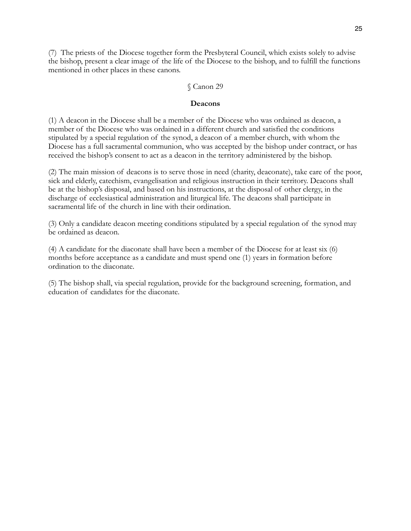(7) The priests of the Diocese together form the Presbyteral Council, which exists solely to advise the bishop, present a clear image of the life of the Diocese to the bishop, and to fulfill the functions mentioned in other places in these canons.

#### § Canon 29

#### **Deacons**

(1) A deacon in the Diocese shall be a member of the Diocese who was ordained as deacon, a member of the Diocese who was ordained in a different church and satisfied the conditions stipulated by a special regulation of the synod, a deacon of a member church, with whom the Diocese has a full sacramental communion, who was accepted by the bishop under contract, or has received the bishop's consent to act as a deacon in the territory administered by the bishop.

(2) The main mission of deacons is to serve those in need (charity, deaconate), take care of the poor, sick and elderly, catechism, evangelisation and religious instruction in their territory. Deacons shall be at the bishop's disposal, and based on his instructions, at the disposal of other clergy, in the discharge of ecclesiastical administration and liturgical life. The deacons shall participate in sacramental life of the church in line with their ordination.

(3) Only a candidate deacon meeting conditions stipulated by a special regulation of the synod may be ordained as deacon.

(4) A candidate for the diaconate shall have been a member of the Diocese for at least six (6) months before acceptance as a candidate and must spend one (1) years in formation before ordination to the diaconate.

(5) The bishop shall, via special regulation, provide for the background screening, formation, and education of candidates for the diaconate.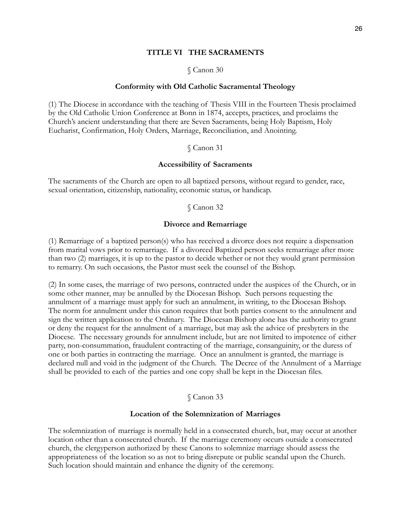### **TITLE VI THE SACRAMENTS**

#### § Canon 30

#### **Conformity with Old Catholic Sacramental Theology**

(1) The Diocese in accordance with the teaching of Thesis VIII in the Fourteen Thesis proclaimed by the Old Catholic Union Conference at Bonn in 1874, accepts, practices, and proclaims the Church's ancient understanding that there are Seven Sacraments, being Holy Baptism, Holy Eucharist, Confirmation, Holy Orders, Marriage, Reconciliation, and Anointing.

#### § Canon 31

#### **Accessibility of Sacraments**

The sacraments of the Church are open to all baptized persons, without regard to gender, race, sexual orientation, citizenship, nationality, economic status, or handicap.

#### § Canon 32

#### **Divorce and Remarriage**

(1) Remarriage of a baptized person(s) who has received a divorce does not require a dispensation from marital vows prior to remarriage. If a divorced Baptized person seeks remarriage after more than two (2) marriages, it is up to the pastor to decide whether or not they would grant permission to remarry. On such occasions, the Pastor must seek the counsel of the Bishop.

(2) In some cases, the marriage of two persons, contracted under the auspices of the Church, or in some other manner, may be annulled by the Diocesan Bishop. Such persons requesting the annulment of a marriage must apply for such an annulment, in writing, to the Diocesan Bishop. The norm for annulment under this canon requires that both parties consent to the annulment and sign the written application to the Ordinary. The Diocesan Bishop alone has the authority to grant or deny the request for the annulment of a marriage, but may ask the advice of presbyters in the Diocese. The necessary grounds for annulment include, but are not limited to impotence of either party, non-consummation, fraudulent contracting of the marriage, consanguinity, or the duress of one or both parties in contracting the marriage. Once an annulment is granted, the marriage is declared null and void in the judgment of the Church. The Decree of the Annulment of a Marriage shall be provided to each of the parties and one copy shall be kept in the Diocesan files.

#### § Canon 33

#### **Location of the Solemnization of Marriages**

The solemnization of marriage is normally held in a consecrated church, but, may occur at another location other than a consecrated church. If the marriage ceremony occurs outside a consecrated church, the clergyperson authorized by these Canons to solemnize marriage should assess the appropriateness of the location so as not to bring disrepute or public scandal upon the Church. Such location should maintain and enhance the dignity of the ceremony.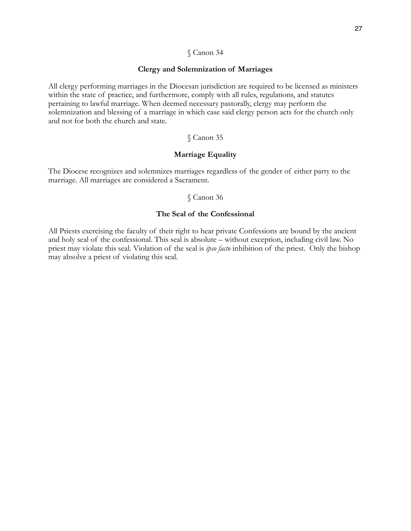#### **Clergy and Solemnization of Marriages**

All clergy performing marriages in the Diocesan jurisdiction are required to be licensed as ministers within the state of practice, and furthermore, comply with all rules, regulations, and statutes pertaining to lawful marriage. When deemed necessary pastorally, clergy may perform the solemnization and blessing of a marriage in which case said clergy person acts for the church only and not for both the church and state.

## § Canon 35

### **Marriage Equality**

The Diocese recognizes and solemnizes marriages regardless of the gender of either party to the marriage. All marriages are considered a Sacrament.

### § Canon 36

### **The Seal of the Confessional**

All Priests exercising the faculty of their right to hear private Confessions are bound by the ancient and holy seal of the confessional. This seal is absolute – without exception, including civil law. No priest may violate this seal. Violation of the seal is *ipso facto* inhibition of the priest. Only the bishop may absolve a priest of violating this seal.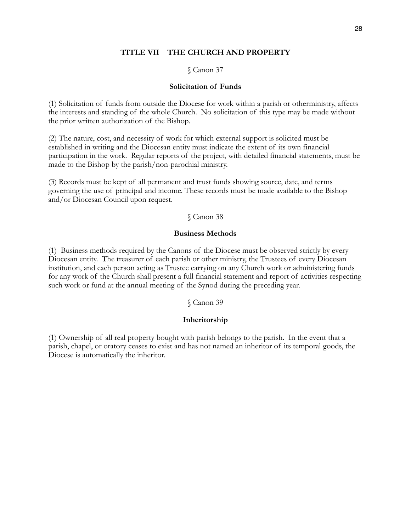### **TITLE VII THE CHURCH AND PROPERTY**

### § Canon 37

#### **Solicitation of Funds**

(1) Solicitation of funds from outside the Diocese for work within a parish or otherministry, affects the interests and standing of the whole Church. No solicitation of this type may be made without the prior written authorization of the Bishop.

(2) The nature, cost, and necessity of work for which external support is solicited must be established in writing and the Diocesan entity must indicate the extent of its own financial participation in the work. Regular reports of the project, with detailed financial statements, must be made to the Bishop by the parish/non-parochial ministry.

(3) Records must be kept of all permanent and trust funds showing source, date, and terms governing the use of principal and income. These records must be made available to the Bishop and/or Diocesan Council upon request.

#### § Canon 38

#### **Business Methods**

(1) Business methods required by the Canons of the Diocese must be observed strictly by every Diocesan entity. The treasurer of each parish or other ministry, the Trustees of every Diocesan institution, and each person acting as Trustee carrying on any Church work or administering funds for any work of the Church shall present a full financial statement and report of activities respecting such work or fund at the annual meeting of the Synod during the preceding year.

### § Canon 39

#### **Inheritorship**

(1) Ownership of all real property bought with parish belongs to the parish. In the event that a parish, chapel, or oratory ceases to exist and has not named an inheritor of its temporal goods, the Diocese is automatically the inheritor.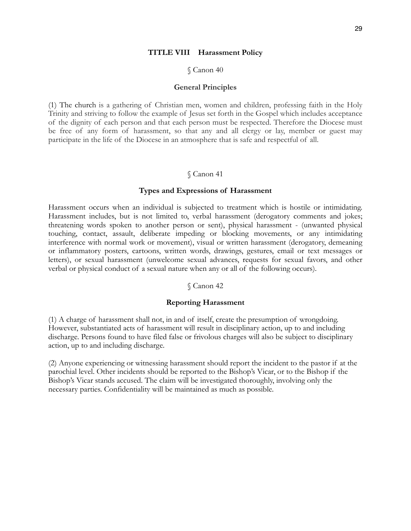#### **TITLE VIII Harassment Policy**

#### § Canon 40

#### **General Principles**

(1) The church is a gathering of Christian men, women and children, professing faith in the Holy Trinity and striving to follow the example of Jesus set forth in the Gospel which includes acceptance of the dignity of each person and that each person must be respected. Therefore the Diocese must be free of any form of harassment, so that any and all clergy or lay, member or guest may participate in the life of the Diocese in an atmosphere that is safe and respectful of all.

#### § Canon 41

#### **Types and Expressions of Harassment**

Harassment occurs when an individual is subjected to treatment which is hostile or intimidating. Harassment includes, but is not limited to, verbal harassment (derogatory comments and jokes; threatening words spoken to another person or sent), physical harassment - (unwanted physical touching, contact, assault, deliberate impeding or blocking movements, or any intimidating interference with normal work or movement), visual or written harassment (derogatory, demeaning or inflammatory posters, cartoons, written words, drawings, gestures, email or text messages or letters), or sexual harassment (unwelcome sexual advances, requests for sexual favors, and other verbal or physical conduct of a sexual nature when any or all of the following occurs).

#### § Canon 42

#### **Reporting Harassment**

(1) A charge of harassment shall not, in and of itself, create the presumption of wrongdoing. However, substantiated acts of harassment will result in disciplinary action, up to and including discharge. Persons found to have filed false or frivolous charges will also be subject to disciplinary action, up to and including discharge.

(2) Anyone experiencing or witnessing harassment should report the incident to the pastor if at the parochial level. Other incidents should be reported to the Bishop's Vicar, or to the Bishop if the Bishop's Vicar stands accused. The claim will be investigated thoroughly, involving only the necessary parties. Confidentiality will be maintained as much as possible.